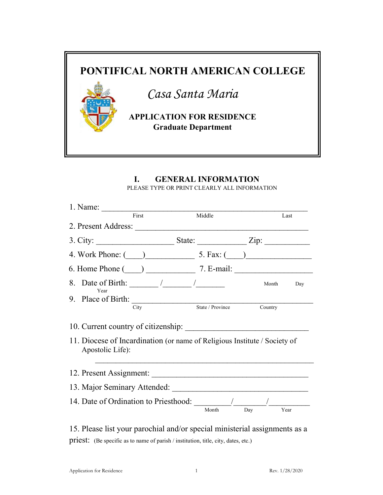

## I. GENERAL INFORMATION PLEASE TYPE OR PRINT CLEARLY ALL INFORMATION

| 1. Name:                                                                                                                                                                                                                       |       |                  |         |      |
|--------------------------------------------------------------------------------------------------------------------------------------------------------------------------------------------------------------------------------|-------|------------------|---------|------|
|                                                                                                                                                                                                                                | First | Middle           |         | Last |
| 2. Present Address:                                                                                                                                                                                                            |       |                  |         |      |
|                                                                                                                                                                                                                                |       |                  |         |      |
| 4. Work Phone: $\qquad \qquad$ 5. Fax: $\qquad \qquad$                                                                                                                                                                         |       |                  |         |      |
| 6. Home Phone $\qquad)$ 7. E-mail:                                                                                                                                                                                             |       |                  |         |      |
| 8. Date of Birth: $\frac{1}{\sqrt{2\pi}}$<br>Year                                                                                                                                                                              |       |                  | Month   | Day  |
| 9. Place of Birth: $\qquad \qquad \qquad$                                                                                                                                                                                      |       |                  |         |      |
|                                                                                                                                                                                                                                | City  | State / Province | Country |      |
|                                                                                                                                                                                                                                |       |                  |         |      |
| 11. Diocese of Incardination (or name of Religious Institute / Society of<br>Apostolic Life):                                                                                                                                  |       |                  |         |      |
|                                                                                                                                                                                                                                |       |                  |         |      |
| 13. Major Seminary Attended: Marian Marian Marian Marian Marian Marian Marian Marian Marian Marian Marian Marian Marian Marian Marian Marian Marian Marian Marian Marian Marian Marian Marian Marian Marian Marian Marian Mari |       |                  |         |      |
| 14. Date of Ordination to Priesthood: /                                                                                                                                                                                        |       | Month            | Day     | Year |
|                                                                                                                                                                                                                                |       |                  |         |      |

15. Please list your parochial and/or special ministerial assignments as a priest: (Be specific as to name of parish / institution, title, city, dates, etc.)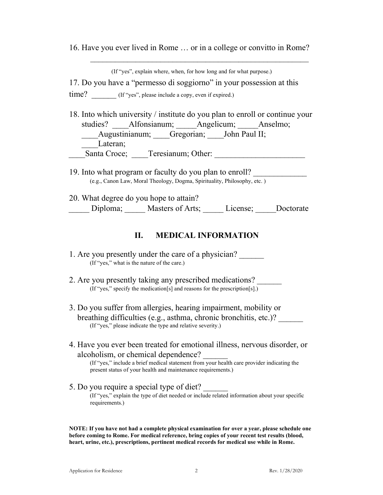16. Have you ever lived in Rome … or in a college or convitto in Rome?

(If "yes", explain where, when, for how long and for what purpose.)

 $\mathcal{L}_\text{max}$  and the contract of the contract of the contract of the contract of the contract of the contract of the contract of the contract of the contract of the contract of the contract of the contract of the contrac

17. Do you have a "permesso di soggiorno" in your possession at this

time? (If "yes", please include a copy, even if expired.)

- 18. Into which university / institute do you plan to enroll or continue your studies? \_\_\_\_Alfonsianum; \_\_\_\_\_Angelicum; \_\_\_\_\_Anselmo; Augustinianum; Gregorian; John Paul II; Lateran: Santa Croce; Teresianum; Other:
- 19. Into what program or faculty do you plan to enroll? (e.g., Canon Law, Moral Theology, Dogma, Spirituality, Philosophy, etc. )

20. What degree do you hope to attain? \_\_\_\_\_ Diploma; \_\_\_\_\_ Masters of Arts; \_\_\_\_\_ License; \_\_\_\_\_Doctorate

## II. MEDICAL INFORMATION

- 2. Are you presently taking any prescribed medications? (If "yes," specify the medication[s] and reasons for the prescription[s].)
- 3. Do you suffer from allergies, hearing impairment, mobility or breathing difficulties (e.g., asthma, chronic bronchitis, etc.)? \_\_\_\_\_\_ (If "yes," please indicate the type and relative severity.)
- 4. Have you ever been treated for emotional illness, nervous disorder, or alcoholism, or chemical dependence?

(If "yes," include a brief medical statement from your health care provider indicating the present status of your health and maintenance requirements.)

5. Do you require a special type of diet? (If "yes," explain the type of diet needed or include related information about your specific requirements.)

NOTE: If you have not had a complete physical examination for over a year, please schedule one before coming to Rome. For medical reference, bring copies of your recent test results (blood, heart, urine, etc.), prescriptions, pertinent medical records for medical use while in Rome.

<sup>1.</sup> Are you presently under the care of a physician? (If "yes," what is the nature of the care.)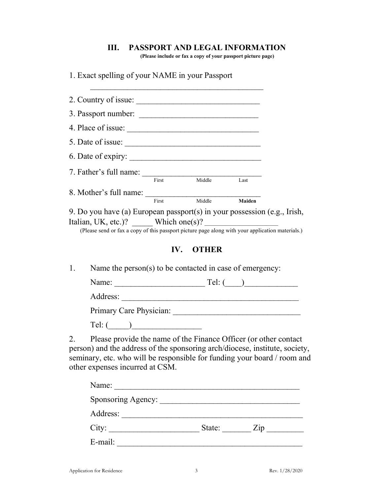## III. PASSPORT AND LEGAL INFORMATION

(Please include or fax a copy of your passport picture page)

1. Exact spelling of your NAME in your Passport

| 9. Do you have (a) European passport(s) in your possession (e.g., Irish,                                                                                                                                                    |
|-----------------------------------------------------------------------------------------------------------------------------------------------------------------------------------------------------------------------------|
|                                                                                                                                                                                                                             |
| (Please send or fax a copy of this passport picture page along with your application materials.)                                                                                                                            |
|                                                                                                                                                                                                                             |
|                                                                                                                                                                                                                             |
|                                                                                                                                                                                                                             |
|                                                                                                                                                                                                                             |
|                                                                                                                                                                                                                             |
|                                                                                                                                                                                                                             |
|                                                                                                                                                                                                                             |
|                                                                                                                                                                                                                             |
|                                                                                                                                                                                                                             |
| Please provide the name of the Finance Officer (or other contact<br>person) and the address of the sponsoring arch/diocese, institute, society,<br>seminary, etc. who will be responsible for funding your board / room and |
|                                                                                                                                                                                                                             |

| Sponsoring Agency: |        |                   |
|--------------------|--------|-------------------|
| Address:           |        |                   |
| City:              | State: | $\overline{Z}$ ip |
| E-mail:            |        |                   |